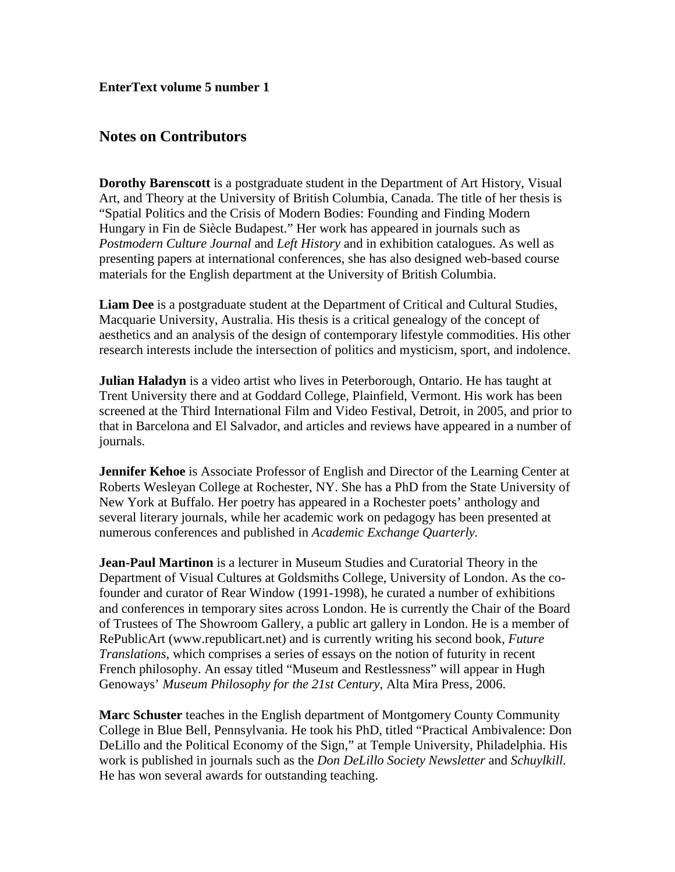**EnterText volume 5 number 1**

## **Notes on Contributors**

**Dorothy Barenscott** is a postgraduate student in the Department of Art History, Visual Art, and Theory at the University of British Columbia, Canada. The title of her thesis is "Spatial Politics and the Crisis of Modern Bodies: Founding and Finding Modern Hungary in Fin de Siècle Budapest." Her work has appeared in journals such as *Postmodern Culture Journal* and *Left History* and in exhibition catalogues. As well as presenting papers at international conferences, she has also designed web-based course materials for the English department at the University of British Columbia.

**Liam Dee** is a postgraduate student at the Department of Critical and Cultural Studies, Macquarie University, Australia. His thesis is a critical genealogy of the concept of aesthetics and an analysis of the design of contemporary lifestyle commodities. His other research interests include the intersection of politics and mysticism, sport, and indolence.

**Julian Haladyn** is a video artist who lives in Peterborough, Ontario. He has taught at Trent University there and at Goddard College, Plainfield, Vermont. His work has been screened at the Third International Film and Video Festival, Detroit, in 2005, and prior to that in Barcelona and El Salvador, and articles and reviews have appeared in a number of journals.

**Jennifer Kehoe** is Associate Professor of English and Director of the Learning Center at Roberts Wesleyan College at Rochester, NY. She has a PhD from the State University of New York at Buffalo. Her poetry has appeared in a Rochester poets' anthology and several literary journals, while her academic work on pedagogy has been presented at numerous conferences and published in *Academic Exchange Quarterly.*

**Jean-Paul Martinon** is a lecturer in Museum Studies and Curatorial Theory in the Department of Visual Cultures at Goldsmiths College, University of London. As the cofounder and curator of Rear Window (1991-1998), he curated a number of exhibitions and conferences in temporary sites across London. He is currently the Chair of the Board of Trustees of The Showroom Gallery, a public art gallery in London. He is a member of RePublicArt (www.republicart.net) and is currently writing his second book, *Future Translations*, which comprises a series of essays on the notion of futurity in recent French philosophy. An essay titled "Museum and Restlessness" will appear in Hugh Genoways' *Museum Philosophy for the 21st Century*, Alta Mira Press, 2006.

**Marc Schuster** teaches in the English department of Montgomery County Community College in Blue Bell, Pennsylvania. He took his PhD, titled "Practical Ambivalence: Don DeLillo and the Political Economy of the Sign," at Temple University, Philadelphia. His work is published in journals such as the *Don DeLillo Society Newsletter* and *Schuylkill.*  He has won several awards for outstanding teaching.